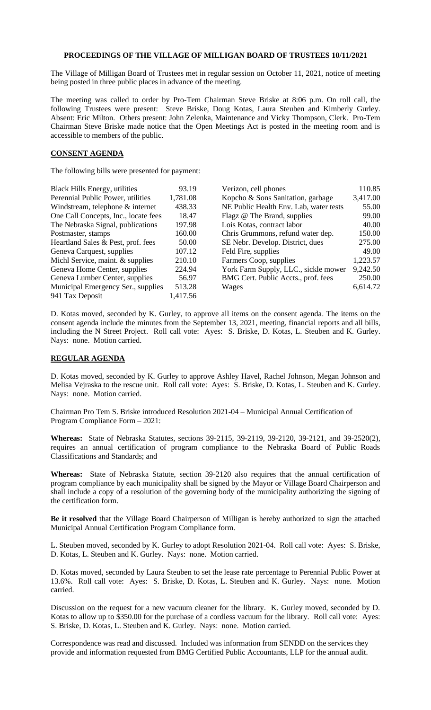## **PROCEEDINGS OF THE VILLAGE OF MILLIGAN BOARD OF TRUSTEES 10/11/2021**

The Village of Milligan Board of Trustees met in regular session on October 11, 2021, notice of meeting being posted in three public places in advance of the meeting.

The meeting was called to order by Pro-Tem Chairman Steve Briske at 8:06 p.m. On roll call, the following Trustees were present: Steve Briske, Doug Kotas, Laura Steuben and Kimberly Gurley. Absent: Eric Milton. Others present: John Zelenka, Maintenance and Vicky Thompson, Clerk. Pro-Tem Chairman Steve Briske made notice that the Open Meetings Act is posted in the meeting room and is accessible to members of the public.

## **CONSENT AGENDA**

The following bills were presented for payment:

| <b>Black Hills Energy, utilities</b> | 93.19    | Verizon, cell phones                   | 110.85   |
|--------------------------------------|----------|----------------------------------------|----------|
| Perennial Public Power, utilities    | 1,781.08 | Kopcho & Sons Sanitation, garbage      | 3,417.00 |
| Windstream, telephone & internet     | 438.33   | NE Public Health Env. Lab, water tests | 55.00    |
| One Call Concepts, Inc., locate fees | 18.47    | Flagz @ The Brand, supplies            | 99.00    |
| The Nebraska Signal, publications    | 197.98   | Lois Kotas, contract labor             | 40.00    |
| Postmaster, stamps                   | 160.00   | Chris Grummons, refund water dep.      | 150.00   |
| Heartland Sales & Pest, prof. fees   | 50.00    | SE Nebr. Develop. District, dues       | 275.00   |
| Geneva Carquest, supplies            | 107.12   | Feld Fire, supplies                    | 49.00    |
| Michl Service, maint. & supplies     | 210.10   | Farmers Coop, supplies                 | 1,223.57 |
| Geneva Home Center, supplies         | 224.94   | York Farm Supply, LLC., sickle mower   | 9,242.50 |
| Geneva Lumber Center, supplies       | 56.97    | BMG Cert. Public Accts., prof. fees    | 250.00   |
| Municipal Emergency Ser., supplies   | 513.28   | Wages                                  | 6,614.72 |
| 941 Tax Deposit                      | 1,417.56 |                                        |          |

D. Kotas moved, seconded by K. Gurley, to approve all items on the consent agenda. The items on the consent agenda include the minutes from the September 13, 2021, meeting, financial reports and all bills, including the N Street Project. Roll call vote: Ayes: S. Briske, D. Kotas, L. Steuben and K. Gurley. Nays: none. Motion carried.

## **REGULAR AGENDA**

D. Kotas moved, seconded by K. Gurley to approve Ashley Havel, Rachel Johnson, Megan Johnson and Melisa Vejraska to the rescue unit. Roll call vote: Ayes: S. Briske, D. Kotas, L. Steuben and K. Gurley. Nays: none. Motion carried.

Chairman Pro Tem S. Briske introduced Resolution 2021-04 – Municipal Annual Certification of Program Compliance Form – 2021:

**Whereas:** State of Nebraska Statutes, sections 39-2115, 39-2119, 39-2120, 39-2121, and 39-2520(2), requires an annual certification of program compliance to the Nebraska Board of Public Roads Classifications and Standards; and

**Whereas:** State of Nebraska Statute, section 39-2120 also requires that the annual certification of program compliance by each municipality shall be signed by the Mayor or Village Board Chairperson and shall include a copy of a resolution of the governing body of the municipality authorizing the signing of the certification form.

**Be it resolved** that the Village Board Chairperson of Milligan is hereby authorized to sign the attached Municipal Annual Certification Program Compliance form.

L. Steuben moved, seconded by K. Gurley to adopt Resolution 2021-04. Roll call vote: Ayes: S. Briske, D. Kotas, L. Steuben and K. Gurley. Nays: none. Motion carried.

D. Kotas moved, seconded by Laura Steuben to set the lease rate percentage to Perennial Public Power at 13.6%. Roll call vote: Ayes: S. Briske, D. Kotas, L. Steuben and K. Gurley. Nays: none. Motion carried.

Discussion on the request for a new vacuum cleaner for the library. K. Gurley moved, seconded by D. Kotas to allow up to \$350.00 for the purchase of a cordless vacuum for the library. Roll call vote: Ayes: S. Briske, D. Kotas, L. Steuben and K. Gurley. Nays: none. Motion carried.

Correspondence was read and discussed. Included was information from SENDD on the services they provide and information requested from BMG Certified Public Accountants, LLP for the annual audit.